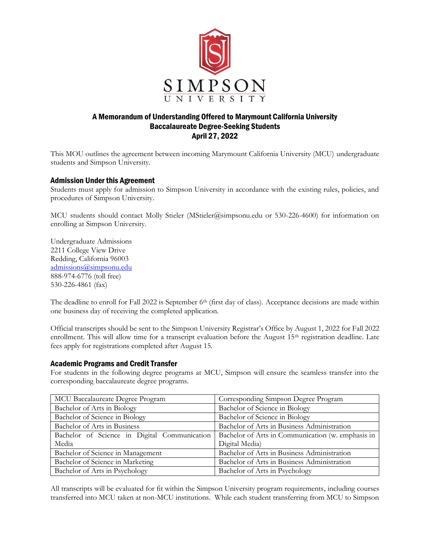

## A Memorandum of Understanding Offered to Marymount California University Baccalaureate Degree-Seeking Students April 27, 2022

This MOU outlines the agreement between incoming Marymount California University (MCU) undergraduate students and Simpson University.

## Admission Under this Agreement

Students must apply for admission to Simpson University in accordance with the existing rules, policies, and procedures of Simpson University.

MCU students should contact Molly Stieler (MStieler@simpsonu.edu or 530-226-4600) for information on enrolling at Simpson University.

Undergraduate Admissions 2211 College View Drive Redding, California 96003 [admissions@simpsonu.edu](mailto:admissions@simpsonu.edu) 888-974-6776 (toll free) 530-226-4861 (fax)

The deadline to enroll for Fall 2022 is September  $6<sup>th</sup>$  (first day of class). Acceptance decisions are made within one business day of receiving the completed application.

Official transcripts should be sent to the Simpson University Registrar's Office by August 1, 2022 for Fall 2022 enrollment. This will allow time for a transcript evaluation before the August 15<sup>th</sup> registration deadline. Late fees apply for registrations completed after August 15.

## Academic Programs and Credit Transfer

For students in the following degree programs at MCU, Simpson will ensure the seamless transfer into the corresponding baccalaureate degree programs.

| MCU Baccalaureate Degree Program             | Corresponding Simpson Degree Program              |
|----------------------------------------------|---------------------------------------------------|
| Bachelor of Arts in Biology                  | Bachelor of Science in Biology                    |
| Bachelor of Science in Biology               | Bachelor of Science in Biology                    |
| Bachelor of Arts in Business                 | Bachelor of Arts in Business Administration       |
| Bachelor of Science in Digital Communication | Bachelor of Arts in Communication (w. emphasis in |
| Media                                        | Digital Media)                                    |
| Bachelor of Science in Management            | Bachelor of Arts in Business Administration       |
| Bachelor of Science in Marketing             | Bachelor of Arts in Business Administration       |
| Bachelor of Arts in Psychology               | Bachelor of Arts in Psychology                    |

All transcripts will be evaluated for fit within the Simpson University program requirements, including courses transferred into MCU taken at non-MCU institutions. While each student transferring from MCU to Simpson